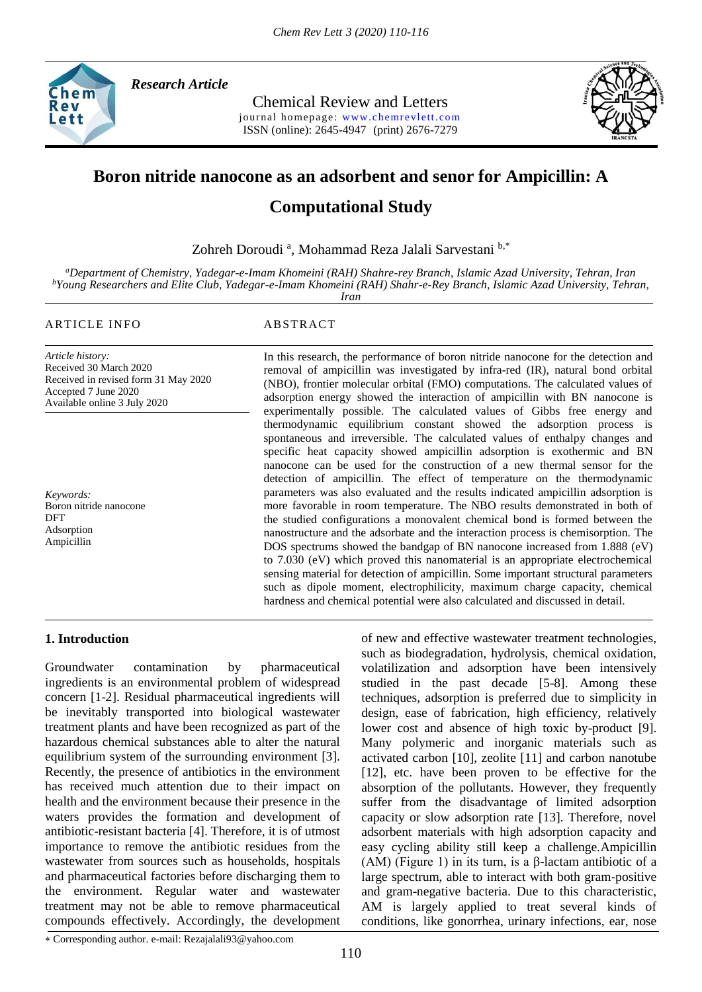

*Research Article* 

Chemical Review and Letters journal homepage: www.chemrevlett.com ISSN (online): 2645-4947(print) 2676-7279



# **Boron nitride nanocone as an adsorbent and senor for Ampicillin: A**

# **Computational Study**

Zohreh Doroudi<sup>a</sup>, Mohammad Reza Jalali Sarvestani<sup>b,\*</sup>

*<sup>a</sup>Department of Chemistry, Yadegar-e-Imam Khomeini (RAH) Shahre-rey Branch, Islamic Azad University, Tehran, Iran <sup>b</sup>Young Researchers and Elite Club, Yadegar-e-Imam Khomeini (RAH) Shahr-e-Rey Branch, Islamic Azad University, Tehran, Iran*

*Article history:* Received 30 March 2020 Received in revised form 31 May 2020 Accepted 7 June 2020

*Keywords:* Boron nitride nanocone DFT Adsorption Ampicillin

Available online 3 July 2020

## ARTICLE INFO ABSTRACT

In this research, the performance of boron nitride nanocone for the detection and removal of ampicillin was investigated by infra-red (IR), natural bond orbital (NBO), frontier molecular orbital (FMO) computations. The calculated values of adsorption energy showed the interaction of ampicillin with BN nanocone is experimentally possible. The calculated values of Gibbs free energy and thermodynamic equilibrium constant showed the adsorption process is spontaneous and irreversible. The calculated values of enthalpy changes and specific heat capacity showed ampicillin adsorption is exothermic and BN nanocone can be used for the construction of a new thermal sensor for the detection of ampicillin. The effect of temperature on the thermodynamic parameters was also evaluated and the results indicated ampicillin adsorption is more favorable in room temperature. The NBO results demonstrated in both of the studied configurations a monovalent chemical bond is formed between the nanostructure and the adsorbate and the interaction process is chemisorption. The DOS spectrums showed the bandgap of BN nanocone increased from 1.888 (eV) to 7.030 (eV) which proved this nanomaterial is an appropriate electrochemical sensing material for detection of ampicillin. Some important structural parameters such as dipole moment, electrophilicity, maximum charge capacity, chemical hardness and chemical potential were also calculated and discussed in detail.

## **1. Introduction**

Groundwater contamination by pharmaceutical ingredients is an environmental problem of widespread concern [1-2]. Residual pharmaceutical ingredients will be inevitably transported into biological wastewater treatment plants and have been recognized as part of the hazardous chemical substances able to alter the natural equilibrium system of the surrounding environment [3]. Recently, the presence of antibiotics in the environment has received much attention due to their impact on health and the environment because their presence in the waters provides the formation and development of antibiotic-resistant bacteria [4]. Therefore, it is of utmost importance to remove the antibiotic residues from the wastewater from sources such as households, hospitals and pharmaceutical factories before discharging them to the environment. Regular water and wastewater treatment may not be able to remove pharmaceutical compounds effectively. Accordingly, the development of new and effective wastewater treatment technologies, such as biodegradation, hydrolysis, chemical oxidation, volatilization and adsorption have been intensively studied in the past decade [5-8]. Among these techniques, adsorption is preferred due to simplicity in design, ease of fabrication, high efficiency, relatively lower cost and absence of high toxic by-product [9]. Many polymeric and inorganic materials such as activated carbon [10], zeolite [11] and carbon nanotube [12], etc. have been proven to be effective for the absorption of the pollutants. However, they frequently suffer from the disadvantage of limited adsorption capacity or slow adsorption rate [13]. Therefore, novel adsorbent materials with high adsorption capacity and easy cycling ability still keep a challenge.Ampicillin (AM) (Figure 1) in its turn, is a  $\beta$ -lactam antibiotic of a large spectrum, able to interact with both gram-positive and gram-negative bacteria. Due to this characteristic, AM is largely applied to treat several kinds of conditions, like gonorrhea, urinary infections, ear, nose

Corresponding author. e-mail: Rezajalali93@yahoo.com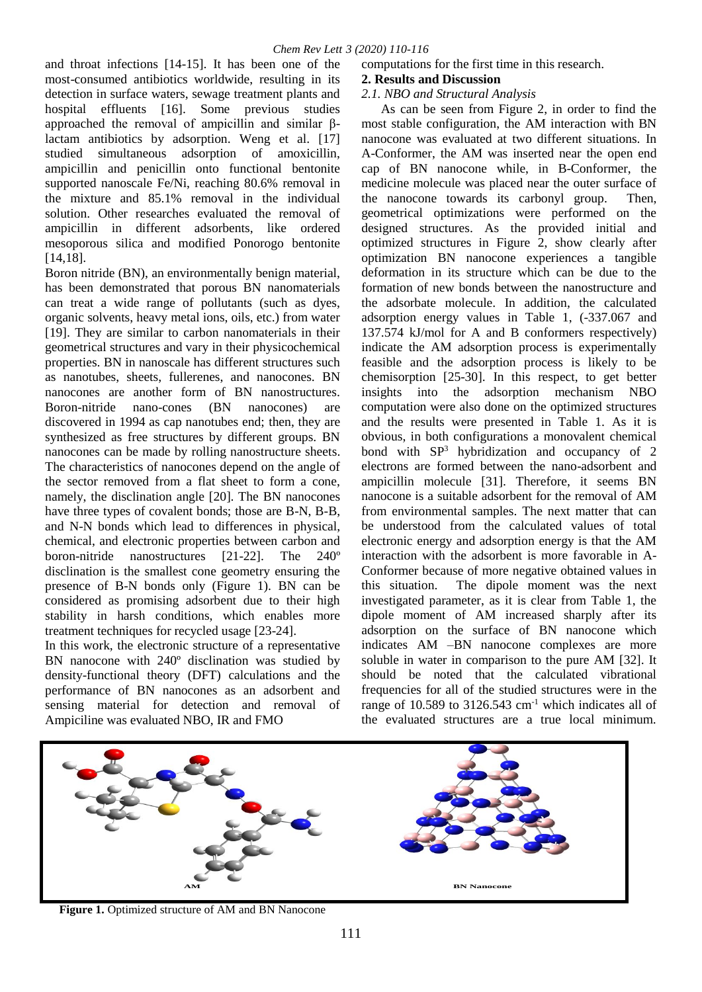and throat infections [14-15]. It has been one of the most-consumed antibiotics worldwide, resulting in its detection in surface waters, sewage treatment plants and hospital effluents [16]. Some previous studies approached the removal of ampicillin and similar βlactam antibiotics by adsorption. Weng et al. [17] studied simultaneous adsorption of amoxicillin, ampicillin and penicillin onto functional bentonite supported nanoscale Fe/Ni, reaching 80.6% removal in the mixture and 85.1% removal in the individual solution. Other researches evaluated the removal of ampicillin in different adsorbents, like ordered mesoporous silica and modified Ponorogo bentonite [14,18].

Boron nitride (BN), an environmentally benign material, has been demonstrated that porous BN nanomaterials can treat a wide range of pollutants (such as dyes, organic solvents, heavy metal ions, oils, etc.) from water [19]. They are similar to carbon nanomaterials in their geometrical structures and vary in their physicochemical properties. BN in nanoscale has different structures such as nanotubes, sheets, fullerenes, and nanocones. BN nanocones are another form of BN nanostructures. Boron-nitride nano-cones (BN nanocones) are discovered in 1994 as cap nanotubes end; then, they are synthesized as free structures by different groups. BN nanocones can be made by rolling nanostructure sheets. The characteristics of nanocones depend on the angle of the sector removed from a flat sheet to form a cone, namely, the disclination angle [20]. The BN nanocones have three types of covalent bonds; those are B-N, B-B, and N-N bonds which lead to differences in physical, chemical, and electronic properties between carbon and boron-nitride nanostructures [21-22]. The 240º disclination is the smallest cone geometry ensuring the presence of B-N bonds only (Figure 1). BN can be considered as promising adsorbent due to their high stability in harsh conditions, which enables more treatment techniques for recycled usage [23-24].

In this work, the electronic structure of a representative BN nanocone with 240º disclination was studied by density-functional theory (DFT) calculations and the performance of BN nanocones as an adsorbent and sensing material for detection and removal of Ampiciline was evaluated NBO, IR and FMO

computations for the first time in this research.

# **2. Results and Discussion**

## *2.1. NBO and Structural Analysis*

 As can be seen from Figure 2, in order to find the most stable configuration, the AM interaction with BN nanocone was evaluated at two different situations. In A-Conformer, the AM was inserted near the open end cap of BN nanocone while, in B-Conformer, the medicine molecule was placed near the outer surface of the nanocone towards its carbonyl group. Then, geometrical optimizations were performed on the designed structures. As the provided initial and optimized structures in Figure 2, show clearly after optimization BN nanocone experiences a tangible deformation in its structure which can be due to the formation of new bonds between the nanostructure and the adsorbate molecule. In addition, the calculated adsorption energy values in Table 1, (-337.067 and 137.574 kJ/mol for A and B conformers respectively) indicate the AM adsorption process is experimentally feasible and the adsorption process is likely to be chemisorption [25-30]. In this respect, to get better insights into the adsorption mechanism NBO computation were also done on the optimized structures and the results were presented in Table 1. As it is obvious, in both configurations a monovalent chemical bond with  $SP<sup>3</sup>$  hybridization and occupancy of 2 electrons are formed between the nano-adsorbent and ampicillin molecule [31]. Therefore, it seems BN nanocone is a suitable adsorbent for the removal of AM from environmental samples. The next matter that can be understood from the calculated values of total electronic energy and adsorption energy is that the AM interaction with the adsorbent is more favorable in A-Conformer because of more negative obtained values in this situation. The dipole moment was the next investigated parameter, as it is clear from Table 1, the dipole moment of AM increased sharply after its adsorption on the surface of BN nanocone which indicates AM –BN nanocone complexes are more soluble in water in comparison to the pure AM [32]. It should be noted that the calculated vibrational frequencies for all of the studied structures were in the range of 10.589 to 3126.543  $cm^{-1}$  which indicates all of the evaluated structures are a true local minimum.



**Figure 1.** Optimized structure of AM and BN Nanocone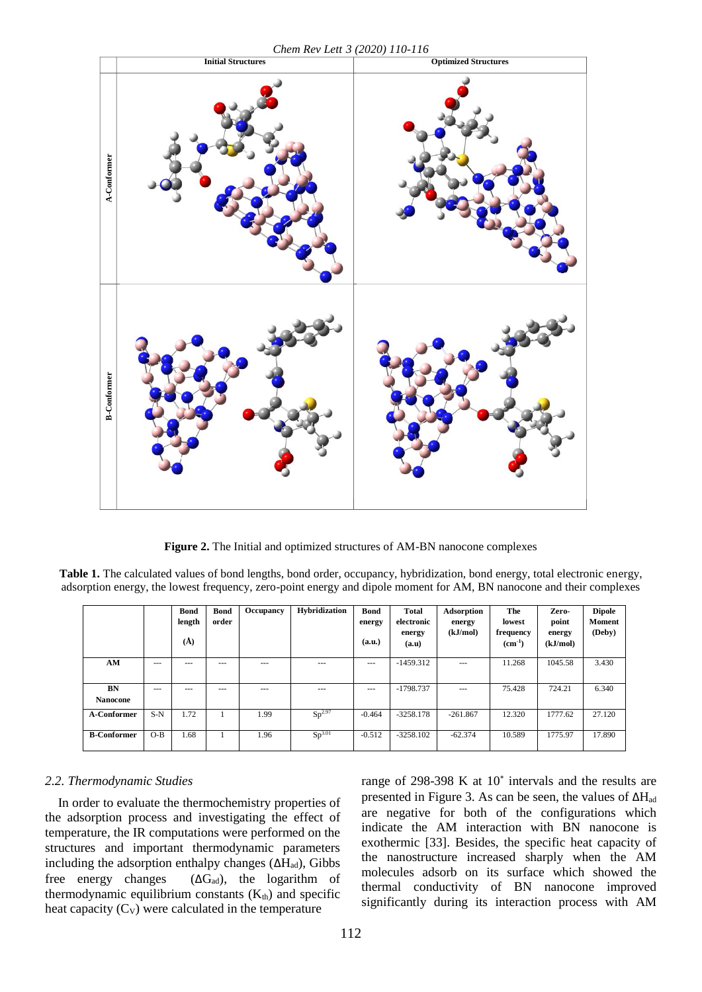*Chem Rev Lett 3 (2020) 110-116*



**Figure 2.** The Initial and optimized structures of AM-BN nanocone complexes

**Table 1.** The calculated values of bond lengths, bond order, occupancy, hybridization, bond energy, total electronic energy, adsorption energy, the lowest frequency, zero-point energy and dipole moment for AM, BN nanocone and their complexes

|                       |       | <b>Bond</b><br>length<br>$\mathring{A}$ | <b>Bond</b><br>order | Occupancy | <b>Hybridization</b> | <b>Bond</b><br>energy<br>(a.u.) | <b>Total</b><br>electronic<br>energy<br>(a.u) | Adsorption<br>energy<br>(kJ/mol) | The<br>lowest<br>frequency<br>$(cm^{-1})$ | Zero-<br>point<br>energy<br>(kJ/mol) | <b>Dipole</b><br><b>Moment</b><br>(Deby) |
|-----------------------|-------|-----------------------------------------|----------------------|-----------|----------------------|---------------------------------|-----------------------------------------------|----------------------------------|-------------------------------------------|--------------------------------------|------------------------------------------|
| AM                    | $--$  | $\cdots$                                | $- - -$              | ---       | $---$                | $---$                           | $-1459.312$                                   | $---$                            | 11.268                                    | 1045.58                              | 3.430                                    |
| BN<br><b>Nanocone</b> | $---$ | ---                                     | ---                  | ---       | $---$                | $---$                           | $-1798.737$                                   | $---$                            | 75.428                                    | 724.21                               | 6.340                                    |
| A-Conformer           | $S-N$ | 1.72                                    |                      | 1.99      | Sp <sup>2.97</sup>   | $-0.464$                        | $-3258.178$                                   | $-261.867$                       | 12.320                                    | 1777.62                              | 27.120                                   |
| <b>B-Conformer</b>    | $O-B$ | 1.68                                    |                      | 1.96      | Sp <sup>3.01</sup>   | $-0.512$                        | $-3258.102$                                   | $-62.374$                        | 10.589                                    | 1775.97                              | 17.890                                   |

### *2.2. Thermodynamic Studies*

 In order to evaluate the thermochemistry properties of the adsorption process and investigating the effect of temperature, the IR computations were performed on the structures and important thermodynamic parameters including the adsorption enthalpy changes  $(\Delta H_{ad})$ , Gibbs free energy changes  $(\Delta G_{ad})$ , the logarithm of thermodynamic equilibrium constants  $(K<sub>th</sub>)$  and specific heat capacity  $(C_V)$  were calculated in the temperature

range of 298-398 K at 10˚ intervals and the results are presented in Figure 3. As can be seen, the values of  $\Delta H_{ad}$ are negative for both of the configurations which indicate the AM interaction with BN nanocone is exothermic [33]. Besides, the specific heat capacity of the nanostructure increased sharply when the AM molecules adsorb on its surface which showed the thermal conductivity of BN nanocone improved significantly during its interaction process with AM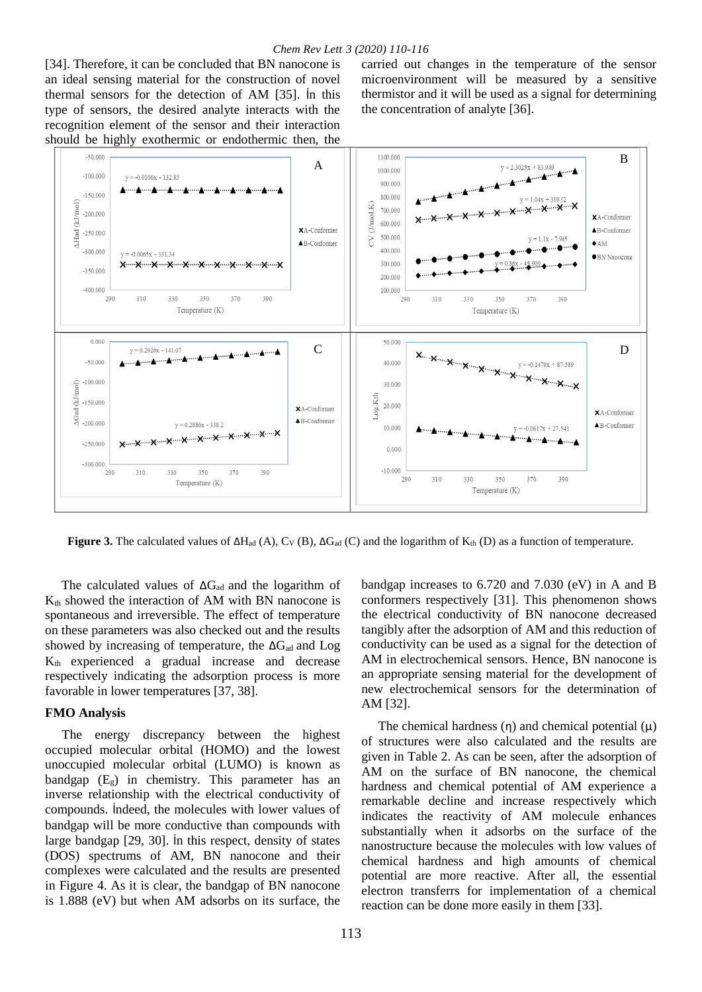[34]. Therefore, it can be concluded that BN nanocone is an ideal sensing material for the construction of novel thermal sensors for the detection of AM [35]. İn this type of sensors, the desired analyte interacts with the recognition element of the sensor and their interaction should be highly exothermic or endothermic then, the

carried out changes in the temperature of the sensor microenvironment will be measured by a sensitive thermistor and it will be used as a signal for determining the concentration of analyte [36].



**Figure 3.** The calculated values of  $\Delta H_{ad}$  (A), C<sub>V</sub> (B),  $\Delta G_{ad}$  (C) and the logarithm of K<sub>th</sub> (D) as a function of temperature.

The calculated values of  $\Delta G_{ad}$  and the logarithm of  $K<sub>th</sub>$  showed the interaction of AM with BN nanocone is spontaneous and irreversible. The effect of temperature on these parameters was also checked out and the results showed by increasing of temperature, the  $\Delta G_{ad}$  and  $\text{Log}$ Kth experienced a gradual increase and decrease respectively indicating the adsorption process is more favorable in lower temperatures [37, 38].

#### **FMO Analysis**

The energy discrepancy between the highest occupied molecular orbital (HOMO) and the lowest unoccupied molecular orbital (LUMO) is known as bandgap  $(E_g)$  in chemistry. This parameter has an inverse relationship with the electrical conductivity of compounds. İndeed, the molecules with lower values of bandgap will be more conductive than compounds with large bandgap [29, 30]. İn this respect, density of states (DOS) spectrums of AM, BN nanocone and their complexes were calculated and the results are presented in Figure 4. As it is clear, the bandgap of BN nanocone is 1.888 (eV) but when AM adsorbs on its surface, the

bandgap increases to 6.720 and 7.030 (eV) in A and B conformers respectively [31]. This phenomenon shows the electrical conductivity of BN nanocone decreased tangibly after the adsorption of AM and this reduction of conductivity can be used as a signal for the detection of AM in electrochemical sensors. Hence, BN nanocone is an appropriate sensing material for the development of new electrochemical sensors for the determination of AM [32].

The chemical hardness  $(\eta)$  and chemical potential  $(\mu)$ of structures were also calculated and the results are given in Table 2. As can be seen, after the adsorption of AM on the surface of BN nanocone, the chemical hardness and chemical potential of AM experience a remarkable decline and increase respectively which indicates the reactivity of AM molecule enhances substantially when it adsorbs on the surface of the nanostructure because the molecules with low values of chemical hardness and high amounts of chemical potential are more reactive. After all, the essential electron transferrs for implementation of a chemical reaction can be done more easily in them [33].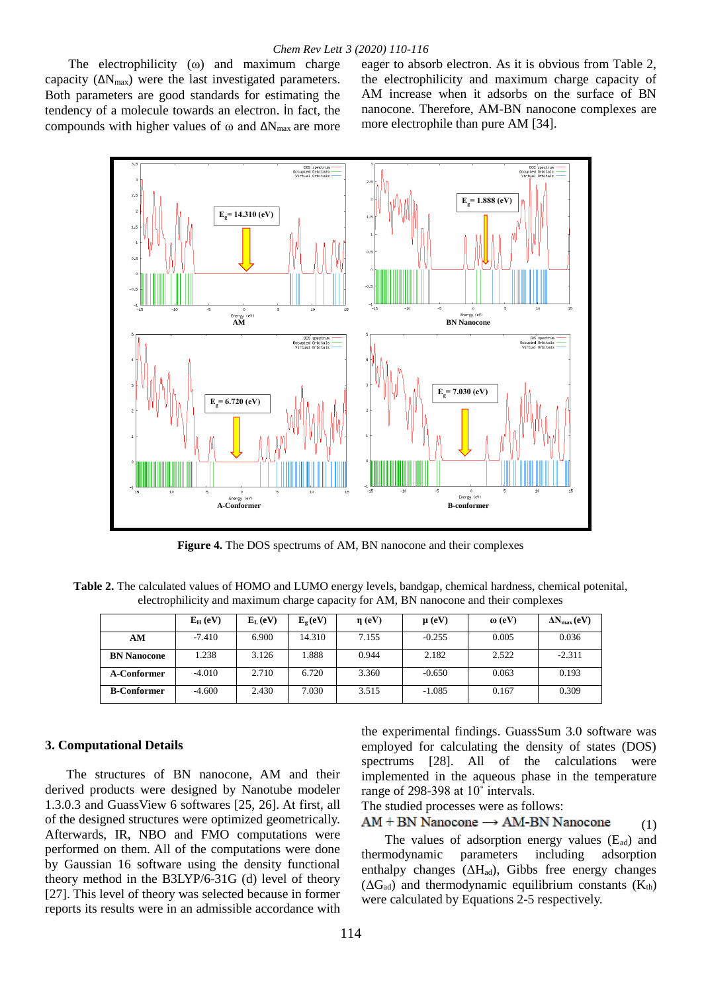The electrophilicity (ω) and maximum charge capacity  $(\Delta N_{\text{max}})$  were the last investigated parameters. Both parameters are good standards for estimating the tendency of a molecule towards an electron. İn fact, the compounds with higher values of  $\omega$  and  $\Delta N_{\text{max}}$  are more

eager to absorb electron. As it is obvious from Table 2, the electrophilicity and maximum charge capacity of AM increase when it adsorbs on the surface of BN nanocone. Therefore, AM-BN nanocone complexes are more electrophile than pure AM [34].



**Figure 4.** The DOS spectrums of AM, BN nanocone and their complexes

**Table 2.** The calculated values of HOMO and LUMO energy levels, bandgap, chemical hardness, chemical potenital, electrophilicity and maximum charge capacity for AM, BN nanocone and their complexes

|                    | $E_H$ (eV) | $E_L$ (eV) | $E_{\varphi}$ (eV) | $\eta$ (eV) | $\mu$ (eV) | $\omega$ (eV) | $\Delta N_{\rm max}$ (eV) |
|--------------------|------------|------------|--------------------|-------------|------------|---------------|---------------------------|
| AM                 | $-7.410$   | 6.900      | 14.310             | 7.155       | $-0.255$   | 0.005         | 0.036                     |
| <b>BN Nanocone</b> | 1.238      | 3.126      | .888               | 0.944       | 2.182      | 2.522         | $-2.311$                  |
| A-Conformer        | $-4.010$   | 2.710      | 6.720              | 3.360       | $-0.650$   | 0.063         | 0.193                     |
| <b>B-Conformer</b> | $-4.600$   | 2.430      | 7.030              | 3.515       | $-1.085$   | 0.167         | 0.309                     |

#### **3. Computational Details**

The structures of BN nanocone, AM and their derived products were designed by Nanotube modeler 1.3.0.3 and GuassView 6 softwares [25, 26]. At first, all of the designed structures were optimized geometrically. Afterwards, IR, NBO and FMO computations were performed on them. All of the computations were done by Gaussian 16 software using the density functional theory method in the B3LYP/6-31G (d) level of theory [27]. This level of theory was selected because in former reports its results were in an admissible accordance with

the experimental findings. GuassSum 3.0 software was employed for calculating the density of states (DOS) spectrums [28]. All of the calculations were implemented in the aqueous phase in the temperature range of 298-398 at 10˚ intervals.

The studied processes were as follows:

 $AM + BN$  Nanocone  $\rightarrow AM-BN$  Nanocone (1)

The values of adsorption energy values  $(E_{ad})$  and thermodynamic parameters including adsorption enthalpy changes  $(\Delta H_{ad})$ , Gibbs free energy changes  $(\Delta G_{ad})$  and thermodynamic equilibrium constants  $(K_{th})$ were calculated by Equations 2-5 respectively.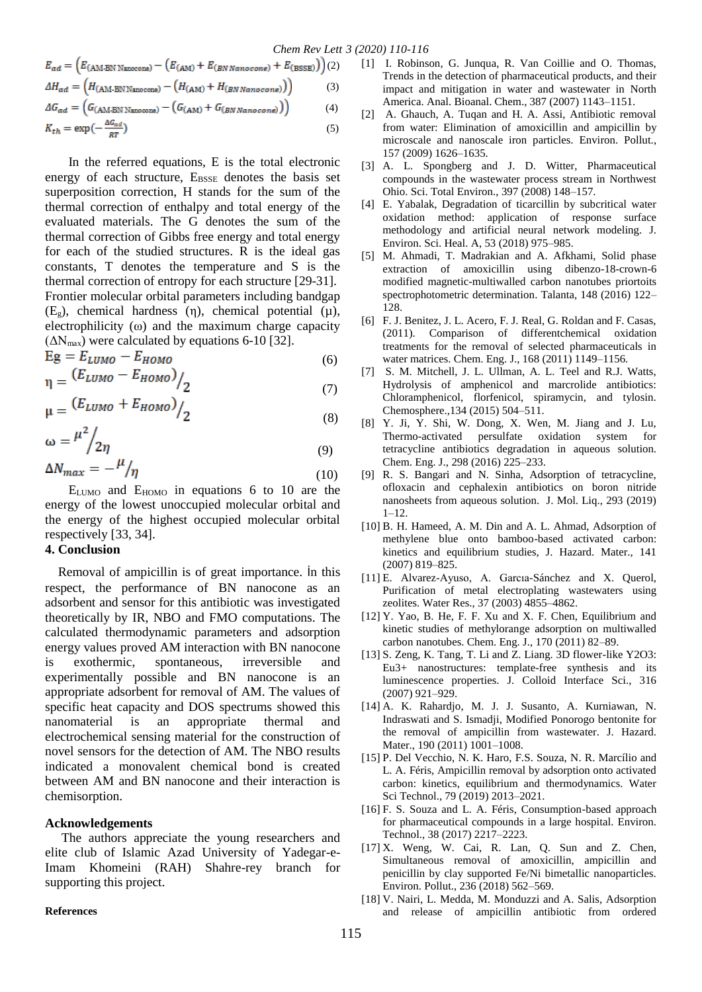$$
E_{ad} = (E_{(\text{AM-BN Nanocone})} - (E_{(\text{AM})} + E_{(\text{BN Nanocone})} + E_{(\text{BSSE})}))
$$
(2)  

$$
\Delta H_{ad} = (H_{(\text{AM-BN Nanocone})} - (H_{(\text{AM})} + H_{(\text{BN Nanocone})}))
$$
(3)  

$$
\Delta G_{ad} = (G_{(\text{AM-BN Nanocone})} - (G_{(\text{AM})} + G_{(\text{BN Nanocone})}))
$$
(4)

$$
K_{th} = \exp\left(-\frac{\Delta G_{ad}}{RT}\right) \tag{5}
$$

In the referred equations, E is the total electronic energy of each structure,  $E_{BSSE}$  denotes the basis set superposition correction, H stands for the sum of the thermal correction of enthalpy and total energy of the evaluated materials. The G denotes the sum of the thermal correction of Gibbs free energy and total energy for each of the studied structures. R is the ideal gas constants, T denotes the temperature and S is the thermal correction of entropy for each structure [29-31]. Frontier molecular orbital parameters including bandgap  $(E_g)$ , chemical hardness  $(\eta)$ , chemical potential  $(\mu)$ , electrophilicity (ω) and the maximum charge capacity  $(\Delta N_{\text{max}})$  were calculated by equations 6-10 [32].

$$
Eg = E_{LUMO} - E_{HOMO}
$$
  

$$
E_{LUMO} - E_{HOMO}) / (6)
$$

$$
\mu = \frac{(E_{LUMO} + E_{HOMO})}{2} \tag{7}
$$
\n
$$
\mu = \frac{(E_{LUMO} + E_{HOMO})}{2} \tag{8}
$$

$$
\omega = \frac{\mu^2}{2\eta} \tag{9}
$$
  
\n
$$
\Delta N_{max} = -\frac{\mu}{\eta} \tag{10}
$$

ELUMO and EHOMO in equations 6 to 10 are the energy of the lowest unoccupied molecular orbital and the energy of the highest occupied molecular orbital respectively [33, 34].

#### **4. Conclusion**

 Removal of ampicillin is of great importance. İn this respect, the performance of BN nanocone as an adsorbent and sensor for this antibiotic was investigated theoretically by IR, NBO and FMO computations. The calculated thermodynamic parameters and adsorption energy values proved AM interaction with BN nanocone is exothermic, spontaneous, irreversible and experimentally possible and BN nanocone is an appropriate adsorbent for removal of AM. The values of specific heat capacity and DOS spectrums showed this nanomaterial is an appropriate thermal and electrochemical sensing material for the construction of novel sensors for the detection of AM. The NBO results indicated a monovalent chemical bond is created between AM and BN nanocone and their interaction is chemisorption.

### **Acknowledgements**

 The authors appreciate the young researchers and elite club of Islamic Azad University of Yadegar-e-Imam Khomeini (RAH) Shahre-rey branch for supporting this project.

#### **References**

- [1] I. Robinson, G. Junqua, R. Van Coillie and O. Thomas, Trends in the detection of pharmaceutical products, and their impact and mitigation in water and wastewater in North America. Anal. Bioanal. Chem., 387 (2007) 1143–1151.
- [2] A. Ghauch, A. Tuqan and H. A. Assi, Antibiotic removal from water: Elimination of amoxicillin and ampicillin by microscale and nanoscale iron particles. Environ. Pollut., 157 (2009) 1626–1635.
- [3] A. L. Spongberg and J. D. Witter, Pharmaceutical compounds in the wastewater process stream in Northwest Ohio. Sci. Total Environ., 397 (2008) 148–157.
- [4] E. Yabalak, Degradation of ticarcillin by subcritical water oxidation method: application of response surface methodology and artificial neural network modeling. J. Environ. Sci. Heal. A, 53 (2018) 975–985.
- [5] M. Ahmadi, T. Madrakian and A. Afkhami, Solid phase extraction of amoxicillin using dibenzo-18-crown-6 modified magnetic-multiwalled carbon nanotubes priortoits spectrophotometric determination. Talanta, 148 (2016) 122– 128.
- [6] F. J. Benitez, J. L. Acero, F. J. Real, G. Roldan and F. Casas, (2011). Comparison of differentchemical oxidation treatments for the removal of selected pharmaceuticals in water matrices. Chem. Eng. J., 168 (2011) 1149–1156.
- [7] S. M. Mitchell, J. L. Ullman, A. L. Teel and R.J. Watts, Hydrolysis of amphenicol and marcrolide antibiotics: Chloramphenicol, florfenicol, spiramycin, and tylosin. Chemosphere.,134 (2015) 504–511.
- [8] Y. Ji, Y. Shi, W. Dong, X. Wen, M. Jiang and J. Lu, Thermo-activated persulfate oxidation system for tetracycline antibiotics degradation in aqueous solution. Chem. Eng. J., 298 (2016) 225–233.
- [9] R. S. Bangari and N. Sinha, Adsorption of tetracycline, ofloxacin and cephalexin antibiotics on boron nitride nanosheets from aqueous solution. J. Mol. Liq., 293 (2019)  $1 - 12$ .
- [10] B. H. Hameed, A. M. Din and A. L. Ahmad, Adsorption of methylene blue onto bamboo-based activated carbon: kinetics and equilibrium studies, J. Hazard. Mater., 141 (2007) 819–825.
- [11] E. Alvarez-Ayuso, A. Garcıa-Sánchez and X. Querol, Purification of metal electroplating wastewaters using zeolites. Water Res., 37 (2003) 4855–4862.
- [12] Y. Yao, B. He, F. F. Xu and X. F. Chen, Equilibrium and kinetic studies of methylorange adsorption on multiwalled carbon nanotubes. Chem. Eng. J., 170 (2011) 82–89.
- [13] S. Zeng, K. Tang, T. Li and Z. Liang. 3D flower-like Y2O3: Eu3+ nanostructures: template-free synthesis and its luminescence properties. J. Colloid Interface Sci., 316 (2007) 921–929.
- [14] A. K. Rahardjo, M. J. J. Susanto, A. Kurniawan, N. Indraswati and S. Ismadji, Modified Ponorogo bentonite for the removal of ampicillin from wastewater. J. Hazard. Mater., 190 (2011) 1001–1008.
- [15] P. Del Vecchio, N. K. Haro, F.S. Souza, N. R. Marcílio and L. A. Féris, Ampicillin removal by adsorption onto activated carbon: kinetics, equilibrium and thermodynamics. Water Sci Technol., 79 (2019) 2013–2021.
- [16] F. S. Souza and L. A. Féris, Consumption-based approach for pharmaceutical compounds in a large hospital. Environ. Technol., 38 (2017) 2217–2223.
- [17] X. Weng, W. Cai, R. Lan, Q. Sun and Z. Chen, Simultaneous removal of amoxicillin, ampicillin and penicillin by clay supported Fe/Ni bimetallic nanoparticles. Environ. Pollut., 236 (2018) 562–569.
- [18] V. Nairi, L. Medda, M. Monduzzi and A. Salis, Adsorption and release of ampicillin antibiotic from ordered